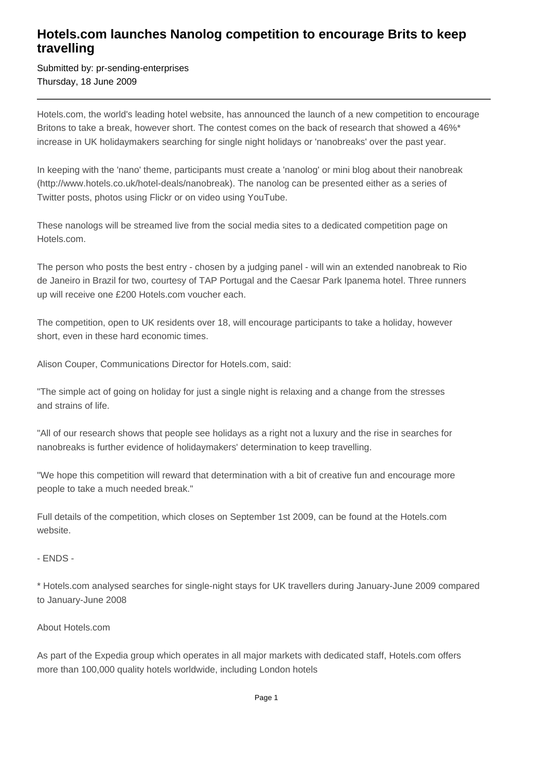## **Hotels.com launches Nanolog competition to encourage Brits to keep travelling**

Submitted by: pr-sending-enterprises Thursday, 18 June 2009

Hotels.com, the world's leading hotel website, has announced the launch of a new competition to encourage Britons to take a break, however short. The contest comes on the back of research that showed a 46%\* increase in UK holidaymakers searching for single night holidays or 'nanobreaks' over the past year.

In keeping with the 'nano' theme, participants must create a 'nanolog' or mini blog about their nanobreak (http://www.hotels.co.uk/hotel-deals/nanobreak). The nanolog can be presented either as a series of Twitter posts, photos using Flickr or on video using YouTube.

These nanologs will be streamed live from the social media sites to a dedicated competition page on Hotels.com.

The person who posts the best entry - chosen by a judging panel - will win an extended nanobreak to Rio de Janeiro in Brazil for two, courtesy of TAP Portugal and the Caesar Park Ipanema hotel. Three runners up will receive one £200 Hotels.com voucher each.

The competition, open to UK residents over 18, will encourage participants to take a holiday, however short, even in these hard economic times.

Alison Couper, Communications Director for Hotels.com, said:

"The simple act of going on holiday for just a single night is relaxing and a change from the stresses and strains of life.

"All of our research shows that people see holidays as a right not a luxury and the rise in searches for nanobreaks is further evidence of holidaymakers' determination to keep travelling.

"We hope this competition will reward that determination with a bit of creative fun and encourage more people to take a much needed break."

Full details of the competition, which closes on September 1st 2009, can be found at the Hotels.com website.

- ENDS -

\* Hotels.com analysed searches for single-night stays for UK travellers during January-June 2009 compared to January-June 2008

## About Hotels.com

As part of the Expedia group which operates in all major markets with dedicated staff, Hotels.com offers more than 100,000 quality hotels worldwide, including London hotels